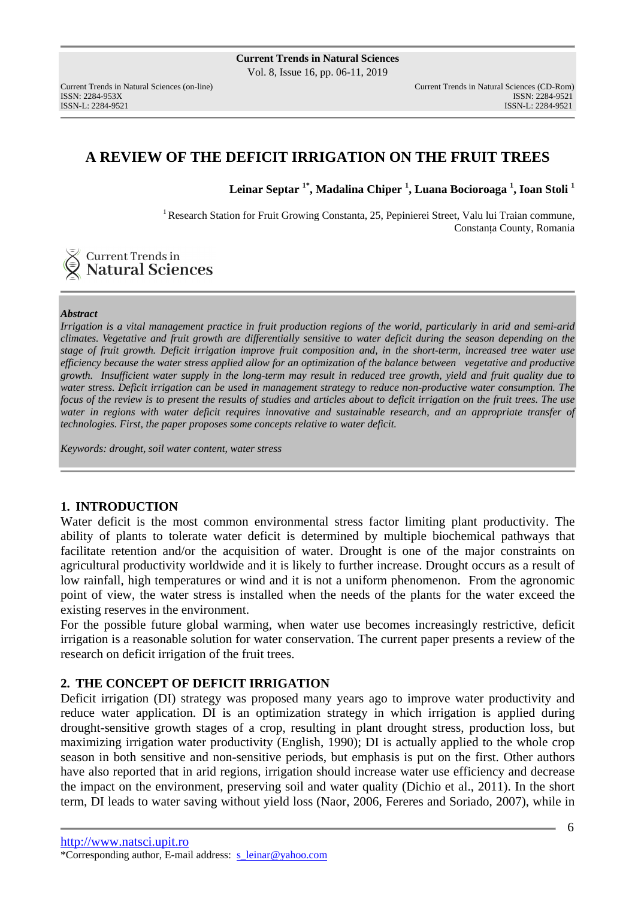## **A REVIEW OF THE DEFICIT IRRIGATION ON THE FRUIT TREES**

**Leinar Septar 1\*, Madalina Chiper <sup>1</sup> , Luana Bocioroaga <sup>1</sup> , Ioan Stoli <sup>1</sup>**

<sup>1</sup> Research Station for Fruit Growing Constanta, 25, Pepinierei Street, Valu lui Traian commune, Constanţa County, Romania

# **Current Trends in**<br>**Natural Sciences**

#### *Abstract*

*Irrigation is a vital management practice in fruit production regions of the world, particularly in arid and semi-arid climates. Vegetative and fruit growth are differentially sensitive to water deficit during the season depending on the stage of fruit growth. Deficit irrigation improve fruit composition and, in the short-term, increased tree water use efficiency because the water stress applied allow for an optimization of the balance between vegetative and productive growth. Insufficient water supply in the long-term may result in reduced tree growth, yield and fruit quality due to water stress. Deficit irrigation can be used in management strategy to reduce non-productive water consumption. The focus of the review is to present the results of studies and articles about to deficit irrigation on the fruit trees. The use water in regions with water deficit requires innovative and sustainable research, and an appropriate transfer of technologies. First, the paper proposes some concepts relative to water deficit.* 

*Keywords: drought, soil water content, water stress* 

## **1. INTRODUCTION**

Water deficit is the most common environmental stress factor limiting plant productivity. The ability of plants to tolerate water deficit is determined by multiple biochemical pathways that facilitate retention and/or the acquisition of water. Drought is one of the major constraints on agricultural productivity worldwide and it is likely to further increase. Drought occurs as a result of low rainfall, high temperatures or wind and it is not a uniform phenomenon. From the agronomic point of view, the water stress is installed when the needs of the plants for the water exceed the existing reserves in the environment.

For the possible future global warming, when water use becomes increasingly restrictive, deficit irrigation is a reasonable solution for water conservation. The current paper presents a review of the research on deficit irrigation of the fruit trees.

## **2. THE CONCEPT OF DEFICIT IRRIGATION**

Deficit irrigation (DI) strategy was proposed many years ago to improve water productivity and reduce water application. DI is an optimization strategy in which irrigation is applied during drought-sensitive growth stages of a crop, resulting in plant drought stress, production loss, but maximizing irrigation water productivity (English, 1990); DI is actually applied to the whole crop season in both sensitive and non-sensitive periods, but emphasis is put on the first. Other authors have also reported that in arid regions, irrigation should increase water use efficiency and decrease the impact on the environment, preserving soil and water quality (Dichio et al., 2011). In the short term, DI leads to water saving without yield loss (Naor, 2006, Fereres and Soriado, 2007), while in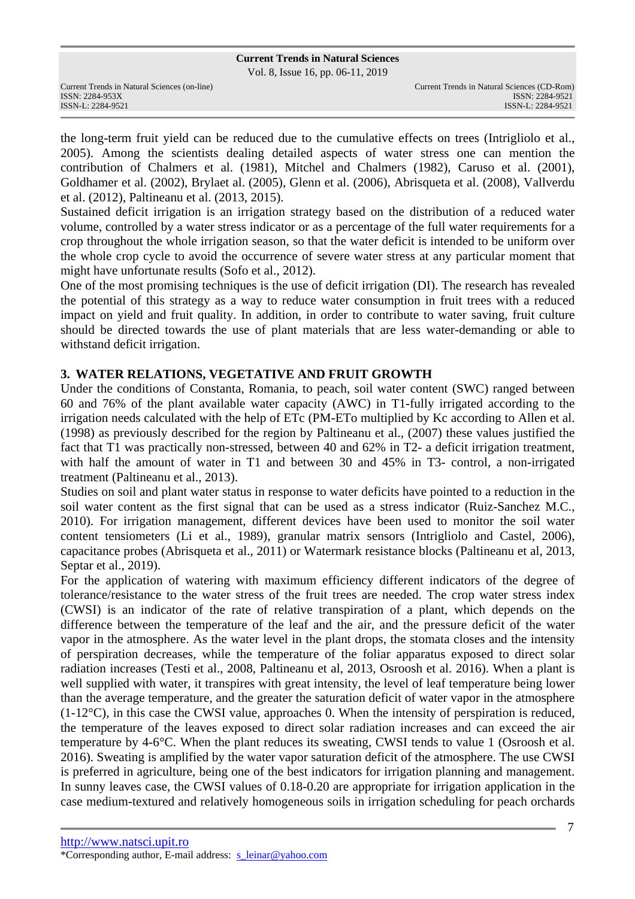Vol. 8, Issue 16, pp. 06-11, 2019

| Current Trends in Natural Sciences (on-line) |
|----------------------------------------------|
| ISSN: 2284-953X                              |
| ISSN-L: 2284-9521                            |

the long-term fruit yield can be reduced due to the cumulative effects on trees (Intrigliolo et al., 2005). Among the scientists dealing detailed aspects of water stress one can mention the contribution of Chalmers et al. (1981), Mitchel and Chalmers (1982), Caruso et al. (2001), Goldhamer et al. (2002), Brylaet al. (2005), Glenn et al. (2006), Abrisqueta et al. (2008), Vallverdu et al. (2012), Paltineanu et al. (2013, 2015).

Sustained deficit irrigation is an irrigation strategy based on the distribution of a reduced water volume, controlled by a water stress indicator or as a percentage of the full water requirements for a crop throughout the whole irrigation season, so that the water deficit is intended to be uniform over the whole crop cycle to avoid the occurrence of severe water stress at any particular moment that might have unfortunate results (Sofo et al., 2012).

One of the most promising techniques is the use of deficit irrigation (DI). The research has revealed the potential of this strategy as a way to reduce water consumption in fruit trees with a reduced impact on yield and fruit quality. In addition, in order to contribute to water saving, fruit culture should be directed towards the use of plant materials that are less water-demanding or able to withstand deficit irrigation.

## **3. WATER RELATIONS, VEGETATIVE AND FRUIT GROWTH**

Under the conditions of Constanta, Romania, to peach, soil water content (SWC) ranged between 60 and 76% of the plant available water capacity (AWC) in T1-fully irrigated according to the irrigation needs calculated with the help of ETc (PM-ETo multiplied by Kc according to Allen et al. (1998) as previously described for the region by Paltineanu et al., (2007) these values justified the fact that T1 was practically non-stressed, between 40 and 62% in T2- a deficit irrigation treatment, with half the amount of water in T1 and between 30 and 45% in T3- control, a non-irrigated treatment (Paltineanu et al., 2013).

Studies on soil and plant water status in response to water deficits have pointed to a reduction in the soil water content as the first signal that can be used as a stress indicator (Ruiz-Sanchez M.C., 2010). For irrigation management, different devices have been used to monitor the soil water content tensiometers (Li et al., 1989), granular matrix sensors (Intrigliolo and Castel, 2006), capacitance probes (Abrisqueta et al., 2011) or Watermark resistance blocks (Paltineanu et al, 2013, Septar et al., 2019).

For the application of watering with maximum efficiency different indicators of the degree of tolerance/resistance to the water stress of the fruit trees are needed. The crop water stress index (CWSI) is an indicator of the rate of relative transpiration of a plant, which depends on the difference between the temperature of the leaf and the air, and the pressure deficit of the water vapor in the atmosphere. As the water level in the plant drops, the stomata closes and the intensity of perspiration decreases, while the temperature of the foliar apparatus exposed to direct solar radiation increases (Testi et al., 2008, Paltineanu et al, 2013, Osroosh et al. 2016). When a plant is well supplied with water, it transpires with great intensity, the level of leaf temperature being lower than the average temperature, and the greater the saturation deficit of water vapor in the atmosphere  $(1-12^{\circ}C)$ , in this case the CWSI value, approaches 0. When the intensity of perspiration is reduced, the temperature of the leaves exposed to direct solar radiation increases and can exceed the air temperature by 4-6°C. When the plant reduces its sweating, CWSI tends to value 1 (Osroosh et al. 2016). Sweating is amplified by the water vapor saturation deficit of the atmosphere. The use CWSI is preferred in agriculture, being one of the best indicators for irrigation planning and management. In sunny leaves case, the CWSI values of 0.18-0.20 are appropriate for irrigation application in the case medium-textured and relatively homogeneous soils in irrigation scheduling for peach orchards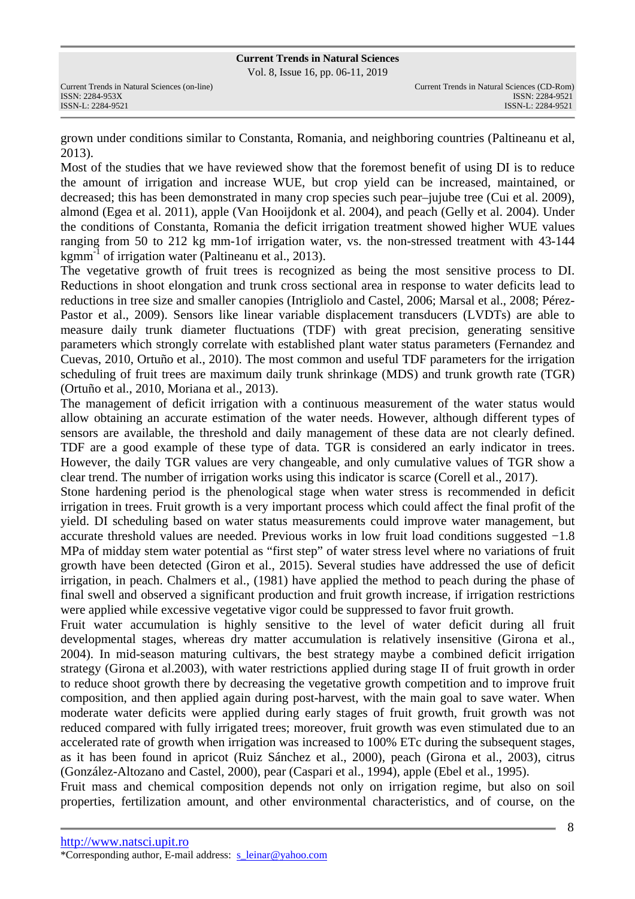Vol. 8, Issue 16, pp. 06-11, 2019

grown under conditions similar to Constanta, Romania, and neighboring countries (Paltineanu et al, 2013).

Most of the studies that we have reviewed show that the foremost benefit of using DI is to reduce the amount of irrigation and increase WUE, but crop yield can be increased, maintained, or decreased; this has been demonstrated in many crop species such pear–jujube tree (Cui et al. 2009), almond (Egea et al. 2011), apple (Van Hooijdonk et al. 2004), and peach (Gelly et al. 2004). Under the conditions of Constanta, Romania the deficit irrigation treatment showed higher WUE values ranging from 50 to 212 kg mm-1of irrigation water, vs. the non-stressed treatment with 43-144 kgmm<sup>-1</sup> of irrigation water (Paltineanu et al., 2013).

The vegetative growth of fruit trees is recognized as being the most sensitive process to DI. Reductions in shoot elongation and trunk cross sectional area in response to water deficits lead to reductions in tree size and smaller canopies (Intrigliolo and Castel, 2006; Marsal et al., 2008; Pérez-Pastor et al., 2009). Sensors like linear variable displacement transducers (LVDTs) are able to measure daily trunk diameter fluctuations (TDF) with great precision, generating sensitive parameters which strongly correlate with established plant water status parameters (Fernandez and Cuevas, 2010, Ortuño et al., 2010). The most common and useful TDF parameters for the irrigation scheduling of fruit trees are maximum daily trunk shrinkage (MDS) and trunk growth rate (TGR) (Ortuño et al., 2010, Moriana et al., 2013).

The management of deficit irrigation with a continuous measurement of the water status would allow obtaining an accurate estimation of the water needs. However, although different types of sensors are available, the threshold and daily management of these data are not clearly defined. TDF are a good example of these type of data. TGR is considered an early indicator in trees. However, the daily TGR values are very changeable, and only cumulative values of TGR show a clear trend. The number of irrigation works using this indicator is scarce (Corell et al., 2017).

Stone hardening period is the phenological stage when water stress is recommended in deficit irrigation in trees. Fruit growth is a very important process which could affect the final profit of the yield. DI scheduling based on water status measurements could improve water management, but accurate threshold values are needed. Previous works in low fruit load conditions suggested −1.8 MPa of midday stem water potential as "first step" of water stress level where no variations of fruit growth have been detected (Giron et al., 2015). Several studies have addressed the use of deficit irrigation, in peach. Chalmers et al., (1981) have applied the method to peach during the phase of final swell and observed a significant production and fruit growth increase, if irrigation restrictions were applied while excessive vegetative vigor could be suppressed to favor fruit growth.

Fruit water accumulation is highly sensitive to the level of water deficit during all fruit developmental stages, whereas dry matter accumulation is relatively insensitive (Girona et al., 2004). In mid-season maturing cultivars, the best strategy maybe a combined deficit irrigation strategy (Girona et al.2003), with water restrictions applied during stage II of fruit growth in order to reduce shoot growth there by decreasing the vegetative growth competition and to improve fruit composition, and then applied again during post-harvest, with the main goal to save water. When moderate water deficits were applied during early stages of fruit growth, fruit growth was not reduced compared with fully irrigated trees; moreover, fruit growth was even stimulated due to an accelerated rate of growth when irrigation was increased to 100% ETc during the subsequent stages, as it has been found in apricot (Ruiz Sánchez et al., 2000), peach (Girona et al., 2003), citrus (González-Altozano and Castel, 2000), pear (Caspari et al., 1994), apple (Ebel et al., 1995).

Fruit mass and chemical composition depends not only on irrigation regime, but also on soil properties, fertilization amount, and other environmental characteristics, and of course, on the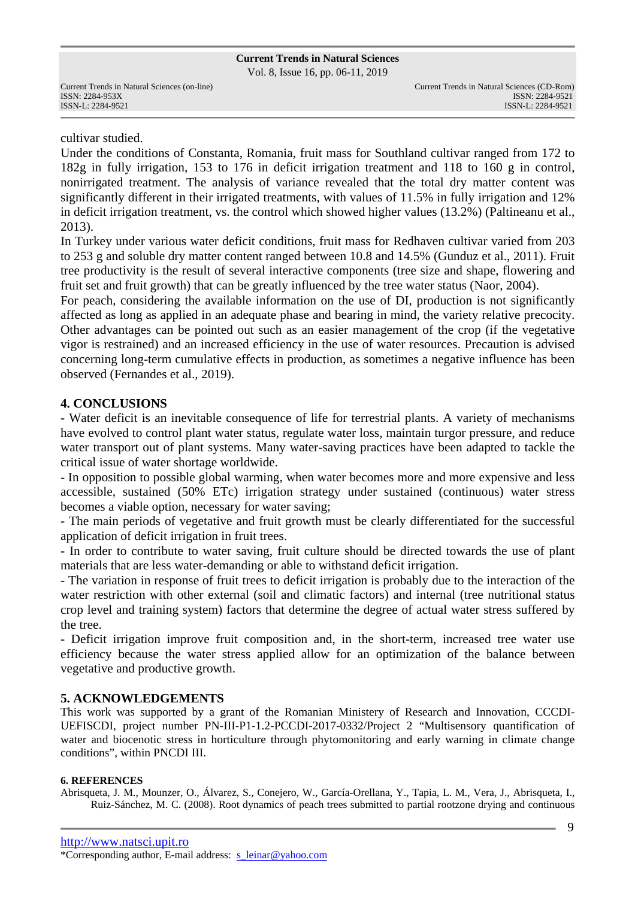Vol. 8, Issue 16, pp. 06-11, 2019

cultivar studied.

Under the conditions of Constanta, Romania, fruit mass for Southland cultivar ranged from 172 to 182g in fully irrigation, 153 to 176 in deficit irrigation treatment and 118 to 160 g in control, nonirrigated treatment. The analysis of variance revealed that the total dry matter content was significantly different in their irrigated treatments, with values of 11.5% in fully irrigation and 12% in deficit irrigation treatment, vs. the control which showed higher values (13.2%) (Paltineanu et al., 2013).

In Turkey under various water deficit conditions, fruit mass for Redhaven cultivar varied from 203 to 253 g and soluble dry matter content ranged between 10.8 and 14.5% (Gunduz et al., 2011). Fruit tree productivity is the result of several interactive components (tree size and shape, flowering and fruit set and fruit growth) that can be greatly influenced by the tree water status (Naor, 2004).

For peach, considering the available information on the use of DI, production is not significantly affected as long as applied in an adequate phase and bearing in mind, the variety relative precocity. Other advantages can be pointed out such as an easier management of the crop (if the vegetative vigor is restrained) and an increased efficiency in the use of water resources. Precaution is advised concerning long-term cumulative effects in production, as sometimes a negative influence has been observed (Fernandes et al., 2019).

## **4. CONCLUSIONS**

- Water deficit is an inevitable consequence of life for terrestrial plants. A variety of mechanisms have evolved to control plant water status, regulate water loss, maintain turgor pressure, and reduce water transport out of plant systems. Many water-saving practices have been adapted to tackle the critical issue of water shortage worldwide.

- In opposition to possible global warming, when water becomes more and more expensive and less accessible, sustained (50% ETc) irrigation strategy under sustained (continuous) water stress becomes a viable option, necessary for water saving;

- The main periods of vegetative and fruit growth must be clearly differentiated for the successful application of deficit irrigation in fruit trees.

- In order to contribute to water saving, fruit culture should be directed towards the use of plant materials that are less water-demanding or able to withstand deficit irrigation.

- The variation in response of fruit trees to deficit irrigation is probably due to the interaction of the water restriction with other external (soil and climatic factors) and internal (tree nutritional status crop level and training system) factors that determine the degree of actual water stress suffered by the tree.

- Deficit irrigation improve fruit composition and, in the short-term, increased tree water use efficiency because the water stress applied allow for an optimization of the balance between vegetative and productive growth.

## **5. ACKNOWLEDGEMENTS**

This work was supported by a grant of the Romanian Ministery of Research and Innovation, CCCDI-UEFISCDI, project number PN-III-P1-1.2-PCCDI-2017-0332/Project 2 "Multisensory quantification of water and biocenotic stress in horticulture through phytomonitoring and early warning in climate change conditions", within PNCDI III.

#### **6. REFERENCES**

Abrisqueta, J. M., Mounzer, O., Álvarez, S., Conejero, W., García-Orellana, Y., Tapia, L. M., Vera, J., Abrisqueta, I., Ruiz-Sánchez, M. C. (2008). Root dynamics of peach trees submitted to partial rootzone drying and continuous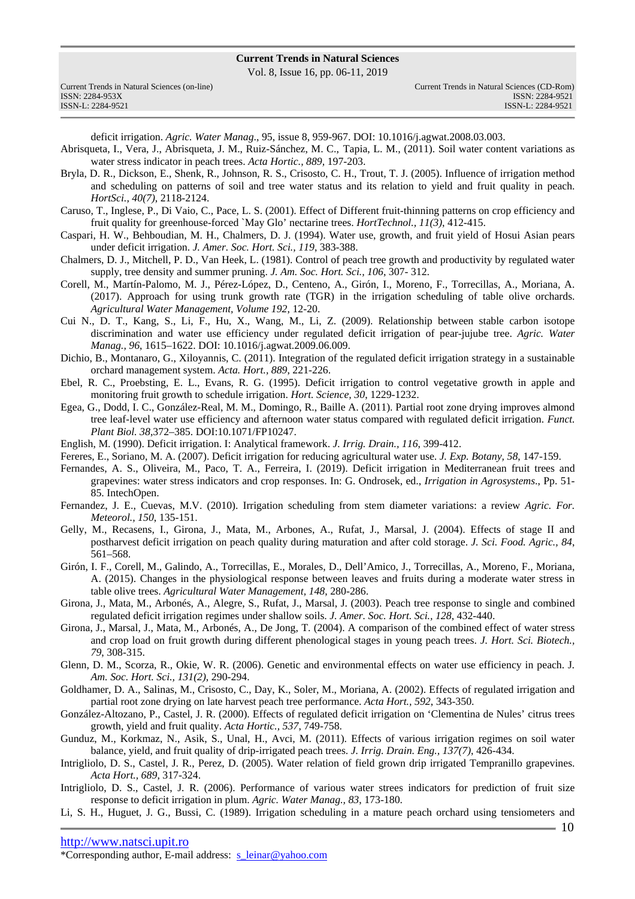Vol. 8, Issue 16, pp. 06-11, 2019

| Current Trends in Natural Sciences (on-line) |
|----------------------------------------------|
| ISSN: 2284-953X                              |
| ISSN-L: 2284-9521                            |

deficit irrigation. *Agric. Water Manag*., 95, issue 8, 959-967. DOI: 10.1016/j.agwat.2008.03.003.

- Abrisqueta, I., Vera, J., Abrisqueta, J. M., Ruiz-Sánchez, M. C., Tapia, L. M., (2011). Soil water content variations as water stress indicator in peach trees. *Acta Hortic., 889,* 197-203.
- Bryla, D. R., Dickson, E., Shenk, R., Johnson, R. S., Crisosto, C. H., Trout, T. J. (2005). Influence of irrigation method and scheduling on patterns of soil and tree water status and its relation to yield and fruit quality in peach. *HortSci., 40(7)*, 2118-2124.
- Caruso, T., Inglese, P., Di Vaio, C., Pace, L. S. (2001). Effect of Different fruit-thinning patterns on crop efficiency and fruit quality for greenhouse-forced `May Glo' nectarine trees. *HortTechnol., 11(3)*, 412-415.
- Caspari, H. W., Behboudian, M. H., Chalmers, D. J. (1994). Water use, growth, and fruit yield of Hosui Asian pears under deficit irrigation. *J. Amer. Soc. Hort. Sci., 119*, 383-388.
- Chalmers, D. J., Mitchell, P. D., Van Heek, L. (1981). Control of peach tree growth and productivity by regulated water supply, tree density and summer pruning. *J. Am. Soc. Hort. Sci., 106*, 307- 312.
- Corell, M., Martín-Palomo, M. J., Pérez-López, D., Centeno, A., Girón, I., Moreno, F., Torrecillas, A., Moriana, A. (2017). Approach for using trunk growth rate (TGR) in the irrigation scheduling of table olive orchards. *Agricultural Water Management, Volume 192*, 12-20.
- Cui N., D. T., Kang, S., Li, F., Hu, X., Wang, M., Li, Z. (2009). Relationship between stable carbon isotope discrimination and water use efficiency under regulated deficit irrigation of pear-jujube tree. *Agric. Water Manag., 96*, 1615–1622. DOI: 10.1016/j.agwat.2009.06.009.
- Dichio, B., Montanaro, G., Xiloyannis, C. (2011). Integration of the regulated deficit irrigation strategy in a sustainable orchard management system. *Acta. Hort., 889*, 221-226.
- Ebel, R. C., Proebsting, E. L., Evans, R. G. (1995). Deficit irrigation to control vegetative growth in apple and monitoring fruit growth to schedule irrigation. *Hort. Science, 30*, 1229-1232.
- Egea, G., Dodd, I. C., González-Real, M. M., Domingo, R., Baille A. (2011). Partial root zone drying improves almond tree leaf-level water use efficiency and afternoon water status compared with regulated deficit irrigation. *Funct. Plant Biol. 38*,372–385. DOI:10.1071/FP10247.
- English, M. (1990). Deficit irrigation. I: Analytical framework. *J. Irrig. Drain., 116*, 399-412.
- Fereres, E., Soriano, M. A. (2007). Deficit irrigation for reducing agricultural water use. *J. Exp. Botany, 58*, 147-159.
- Fernandes, A. S., Oliveira, M., Paco, T. A., Ferreira, I. (2019). Deficit irrigation in Mediterranean fruit trees and grapevines: water stress indicators and crop responses. In: G. Ondrosek, ed., *Irrigation in Agrosystems*., Pp. 51- 85. IntechOpen.
- Fernandez, J. E., Cuevas, M.V. (2010). Irrigation scheduling from stem diameter variations: a review *Agric. For. Meteorol., 150*, 135-151.
- Gelly, M., Recasens, I., Girona, J., Mata, M., Arbones, A., Rufat, J., Marsal, J. (2004). Effects of stage II and postharvest deficit irrigation on peach quality during maturation and after cold storage. *J. Sci. Food. Agric., 84*, 561–568.
- Girón, I. F., Corell, M., Galindo, A., Torrecillas, E., Morales, D., Dell'Amico, J., Torrecillas, A., Moreno, F., Moriana, A. (2015). Changes in the physiological response between leaves and fruits during a moderate water stress in table olive trees. *Agricultural Water Management, 148*, 280-286.
- Girona, J., Mata, M., Arbonés, A., Alegre, S., Rufat, J., Marsal, J. (2003). Peach tree response to single and combined regulated deficit irrigation regimes under shallow soils. *J. Amer. Soc. Hort. Sci., 128*, 432-440.
- Girona, J., Marsal, J., Mata, M., Arbonés, A., De Jong, T. (2004). A comparison of the combined effect of water stress and crop load on fruit growth during different phenological stages in young peach trees. *J. Hort. Sci. Biotech., 79*, 308-315.
- Glenn, D. M., Scorza, R., Okie, W. R. (2006). Genetic and environmental effects on water use efficiency in peach. J*. Am. Soc. Hort. Sci., 131(2)*, 290-294.
- Goldhamer, D. A., Salinas, M., Crisosto, C., Day, K., Soler, M., Moriana, A. (2002). Effects of regulated irrigation and partial root zone drying on late harvest peach tree performance. *Acta Hort., 592*, 343-350.
- González-Altozano, P., Castel, J. R. (2000). Effects of regulated deficit irrigation on 'Clementina de Nules' citrus trees growth, yield and fruit quality. *Acta Hortic., 537*, 749-758.
- Gunduz, M., Korkmaz, N., Asik, S., Unal, H., Avci, M. (2011). Effects of various irrigation regimes on soil water balance, yield, and fruit quality of drip-irrigated peach trees. *J. Irrig. Drain. Eng., 137(7)*, 426-434.
- Intrigliolo, D. S., Castel, J. R., Perez, D. (2005). Water relation of field grown drip irrigated Tempranillo grapevines. *Acta Hort., 689*, 317-324.
- Intrigliolo, D. S., Castel, J. R. (2006). Performance of various water strees indicators for prediction of fruit size response to deficit irrigation in plum. *Agric. Water Manag., 83*, 173-180.
- Li, S. H., Huguet, J. G., Bussi, C. (1989). Irrigation scheduling in a mature peach orchard using tensiometers and

\*Corresponding author, E-mail address: s\_leinar@yahoo.com